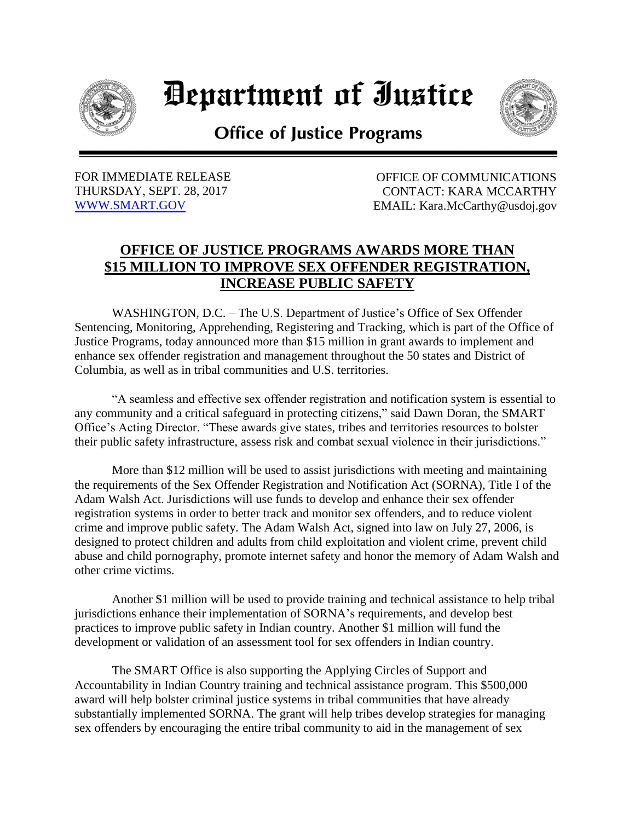

*Department of Iustice* 



**Office of Justice Programs** 

FOR IMMEDIATE RELEASE OF COMMUNICATIONS THURSDAY, SEPT. 28, 2017 CONTACT: KARA MCCARTHY [WWW.SMART.GOV](http://www.smart.gov/) EMAIL: Kara.McCarthy@usdoj.gov

## **OFFICE OF JUSTICE PROGRAMS AWARDS MORE THAN \$15 MILLION TO IMPROVE SEX OFFENDER REGISTRATION, INCREASE PUBLIC SAFETY**

WASHINGTON, D.C. – The U.S. Department of Justice's Office of Sex Offender Sentencing, Monitoring, Apprehending, Registering and Tracking, which is part of the Office of Justice Programs, today announced more than \$15 million in grant awards to implement and enhance sex offender registration and management throughout the 50 states and District of Columbia, as well as in tribal communities and U.S. territories.

"A seamless and effective sex offender registration and notification system is essential to any community and a critical safeguard in protecting citizens," said Dawn Doran, the SMART Office's Acting Director. "These awards give states, tribes and territories resources to bolster their public safety infrastructure, assess risk and combat sexual violence in their jurisdictions."

More than \$12 million will be used to assist jurisdictions with meeting and maintaining the requirements of the Sex Offender Registration and Notification Act (SORNA), Title I of the Adam Walsh Act. Jurisdictions will use funds to develop and enhance their sex offender registration systems in order to better track and monitor sex offenders, and to reduce violent crime and improve public safety. The Adam Walsh Act, signed into law on July 27, 2006, is designed to protect children and adults from child exploitation and violent crime, prevent child abuse and child pornography, promote internet safety and honor the memory of Adam Walsh and other crime victims.

Another \$1 million will be used to provide training and technical assistance to help tribal jurisdictions enhance their implementation of SORNA's requirements, and develop best practices to improve public safety in Indian country. Another \$1 million will fund the development or validation of an assessment tool for sex offenders in Indian country.

The SMART Office is also supporting the Applying Circles of Support and Accountability in Indian Country training and technical assistance program. This \$500,000 award will help bolster criminal justice systems in tribal communities that have already substantially implemented SORNA. The grant will help tribes develop strategies for managing sex offenders by encouraging the entire tribal community to aid in the management of sex